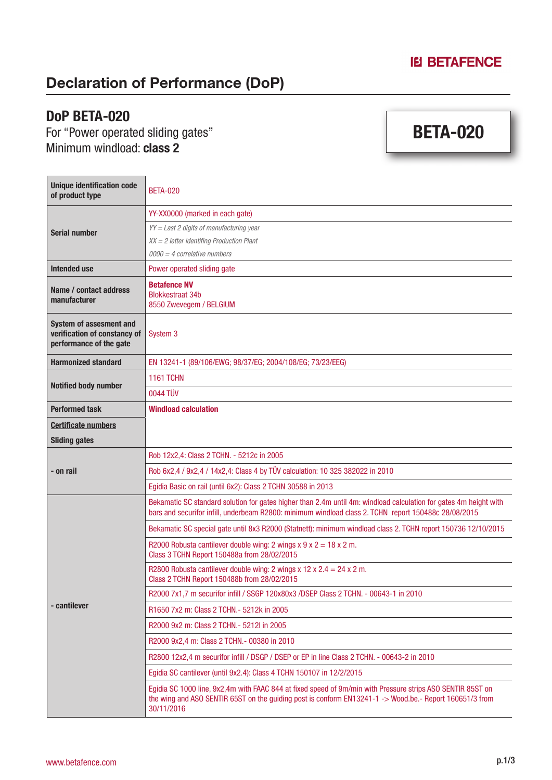BETA-020

### Declaration of Performance (DoP)

#### DoP BETA-020

For "Power operated sliding gates" Minimum windload: **class 2** 

| <b>Unique identification code</b><br>of product type                                      | <b>BETA-020</b>                                                                                                                                                                                                                     |  |
|-------------------------------------------------------------------------------------------|-------------------------------------------------------------------------------------------------------------------------------------------------------------------------------------------------------------------------------------|--|
| <b>Serial number</b>                                                                      | YY-XX0000 (marked in each gate)                                                                                                                                                                                                     |  |
|                                                                                           | $YY = Last 2$ digits of manufacturing year                                                                                                                                                                                          |  |
|                                                                                           | $XX = 2$ letter identifing Production Plant                                                                                                                                                                                         |  |
|                                                                                           | $0000 = 4$ correlative numbers                                                                                                                                                                                                      |  |
| Intended use                                                                              | Power operated sliding gate                                                                                                                                                                                                         |  |
| Name / contact address<br>manufacturer                                                    | <b>Betafence NV</b><br><b>Blokkestraat 34b</b><br>8550 Zwevegem / BELGIUM                                                                                                                                                           |  |
| <b>System of assesment and</b><br>verification of constancy of<br>performance of the gate | System <sub>3</sub>                                                                                                                                                                                                                 |  |
| <b>Harmonized standard</b>                                                                | EN 13241-1 (89/106/EWG; 98/37/EG; 2004/108/EG; 73/23/EEG)                                                                                                                                                                           |  |
| <b>Notified body number</b>                                                               | <b>1161 TCHN</b>                                                                                                                                                                                                                    |  |
|                                                                                           | 0044 TÜV                                                                                                                                                                                                                            |  |
| <b>Performed task</b>                                                                     | <b>Windload calculation</b>                                                                                                                                                                                                         |  |
| <b>Certificate numbers</b>                                                                |                                                                                                                                                                                                                                     |  |
| <b>Sliding gates</b>                                                                      |                                                                                                                                                                                                                                     |  |
| - on rail                                                                                 | Rob 12x2,4: Class 2 TCHN. - 5212c in 2005                                                                                                                                                                                           |  |
|                                                                                           | Rob 6x2,4 / 9x2,4 / 14x2,4: Class 4 by TÜV calculation: 10 325 382022 in 2010                                                                                                                                                       |  |
|                                                                                           | Egidia Basic on rail (until 6x2): Class 2 TCHN 30588 in 2013                                                                                                                                                                        |  |
| - cantilever                                                                              | Bekamatic SC standard solution for gates higher than 2.4m until 4m: windload calculation for gates 4m height with<br>bars and securifor infill, underbeam R2800: minimum windload class 2. TCHN report 150488c 28/08/2015           |  |
|                                                                                           | Bekamatic SC special gate until 8x3 R2000 (Statnett): minimum windload class 2. TCHN report 150736 12/10/2015                                                                                                                       |  |
|                                                                                           | R2000 Robusta cantilever double wing: 2 wings $x$ 9 $x$ 2 = 18 $x$ 2 m.<br>Class 3 TCHN Report 150488a from 28/02/2015                                                                                                              |  |
|                                                                                           | R2800 Robusta cantilever double wing: 2 wings x 12 x $2.4 = 24$ x 2 m.<br>Class 2 TCHN Report 150488b from 28/02/2015                                                                                                               |  |
|                                                                                           | R2000 7x1,7 m securifor infill / SSGP 120x80x3 /DSEP Class 2 TCHN. - 00643-1 in 2010                                                                                                                                                |  |
|                                                                                           | R1650 7x2 m: Class 2 TCHN. - 5212k in 2005                                                                                                                                                                                          |  |
|                                                                                           | R2000 9x2 m: Class 2 TCHN. - 5212I in 2005                                                                                                                                                                                          |  |
|                                                                                           | R2000 9x2,4 m: Class 2 TCHN.- 00380 in 2010                                                                                                                                                                                         |  |
|                                                                                           | R2800 12x2.4 m securifor infill / DSGP / DSEP or EP in line Class 2 TCHN. - 00643-2 in 2010                                                                                                                                         |  |
|                                                                                           | Egidia SC cantilever (until 9x2.4): Class 4 TCHN 150107 in 12/2/2015                                                                                                                                                                |  |
|                                                                                           | Egidia SC 1000 line, 9x2,4m with FAAC 844 at fixed speed of 9m/min with Pressure strips ASO SENTIR 85ST on<br>the wing and ASO SENTIR 65ST on the guiding post is conform EN13241-1 -> Wood.be.- Report 160651/3 from<br>30/11/2016 |  |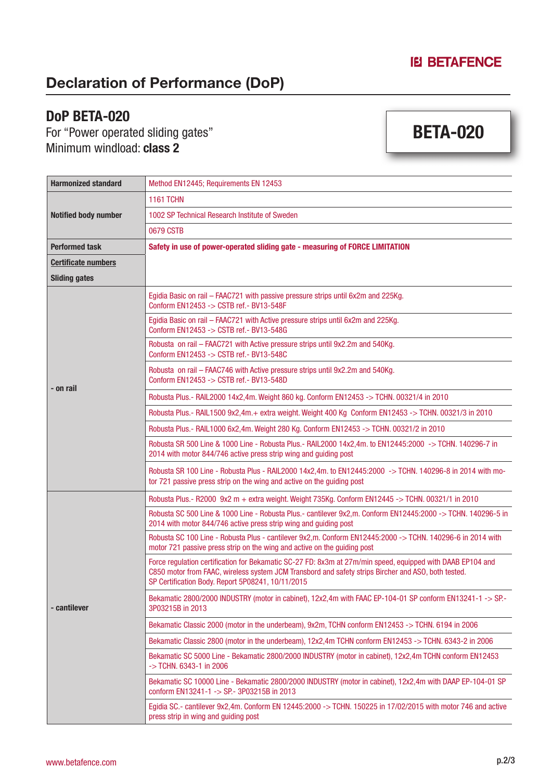# Declaration of Performance (DoP)

#### DoP BETA-020

For "Power operated sliding gates" Minimum windload: **class 2** 

# BETA-020

| <b>Harmonized standard</b>  | Method EN12445: Requirements EN 12453                                                                                                                                                                                                                                  |  |
|-----------------------------|------------------------------------------------------------------------------------------------------------------------------------------------------------------------------------------------------------------------------------------------------------------------|--|
| <b>Notified body number</b> | <b>1161 TCHN</b>                                                                                                                                                                                                                                                       |  |
|                             | 1002 SP Technical Research Institute of Sweden                                                                                                                                                                                                                         |  |
|                             | 0679 CSTB                                                                                                                                                                                                                                                              |  |
| <b>Performed task</b>       | Safety in use of power-operated sliding gate - measuring of FORCE LIMITATION                                                                                                                                                                                           |  |
| <b>Certificate numbers</b>  |                                                                                                                                                                                                                                                                        |  |
| <b>Sliding gates</b>        |                                                                                                                                                                                                                                                                        |  |
| - on rail                   | Egidia Basic on rail - FAAC721 with passive pressure strips until 6x2m and 225Kg.<br>Conform EN12453 -> CSTB ref.- BV13-548F                                                                                                                                           |  |
|                             | Egidia Basic on rail - FAAC721 with Active pressure strips until 6x2m and 225Kg.<br>Conform EN12453 -> CSTB ref. - BV13-548G                                                                                                                                           |  |
|                             | Robusta on rail - FAAC721 with Active pressure strips until 9x2.2m and 540Kg.<br>Conform EN12453 -> CSTB ref. - BV13-548C                                                                                                                                              |  |
|                             | Robusta on rail - FAAC746 with Active pressure strips until 9x2.2m and 540Kg.<br>Conform EN12453 -> CSTB ref.- BV13-548D                                                                                                                                               |  |
|                             | Robusta Plus.- RAIL2000 14x2,4m. Weight 860 kg. Conform EN12453 -> TCHN. 00321/4 in 2010                                                                                                                                                                               |  |
|                             | Robusta Plus.- RAIL1500 9x2,4m.+ extra weight. Weight 400 Kg Conform EN12453 -> TCHN. 00321/3 in 2010                                                                                                                                                                  |  |
|                             | Robusta Plus.- RAIL1000 6x2,4m. Weight 280 Kg. Conform EN12453 -> TCHN. 00321/2 in 2010                                                                                                                                                                                |  |
|                             | Robusta SR 500 Line & 1000 Line - Robusta Plus.- RAIL2000 14x2,4m. to EN12445:2000 -> TCHN. 140296-7 in<br>2014 with motor 844/746 active press strip wing and guiding post                                                                                            |  |
|                             | Robusta SR 100 Line - Robusta Plus - RAIL2000 14x2,4m. to EN12445:2000 -> TCHN. 140296-8 in 2014 with mo-<br>tor 721 passive press strip on the wing and active on the guiding post                                                                                    |  |
|                             | Robusta Plus.- R2000 9x2 m + extra weight. Weight 735Kg. Conform EN12445 -> TCHN. 00321/1 in 2010                                                                                                                                                                      |  |
| - cantilever                | Robusta SC 500 Line & 1000 Line - Robusta Plus.- cantilever 9x2,m. Conform EN12445:2000 -> TCHN. 140296-5 in<br>2014 with motor 844/746 active press strip wing and guiding post                                                                                       |  |
|                             | Robusta SC 100 Line - Robusta Plus - cantilever 9x2,m. Conform EN12445:2000 -> TCHN. 140296-6 in 2014 with<br>motor 721 passive press strip on the wing and active on the guiding post                                                                                 |  |
|                             | Force regulation certification for Bekamatic SC-27 FD: 8x3m at 27m/min speed, equipped with DAAB EP104 and<br>C850 motor from FAAC, wireless system JCM Transbord and safety strips Bircher and ASO, both tested.<br>SP Certification Body. Report 5P08241, 10/11/2015 |  |
|                             | Bekamatic 2800/2000 INDUSTRY (motor in cabinet), 12x2,4m with FAAC EP-104-01 SP conform EN13241-1 -> SP-<br>3P03215B in 2013                                                                                                                                           |  |
|                             | Bekamatic Classic 2000 (motor in the underbeam), 9x2m, TCHN conform EN12453 -> TCHN. 6194 in 2006                                                                                                                                                                      |  |
|                             | Bekamatic Classic 2800 (motor in the underbeam), 12x2,4m TCHN conform EN12453 -> TCHN. 6343-2 in 2006                                                                                                                                                                  |  |
|                             | Bekamatic SC 5000 Line - Bekamatic 2800/2000 INDUSTRY (motor in cabinet), 12x2,4m TCHN conform EN12453<br>-> TCHN. 6343-1 in 2006                                                                                                                                      |  |
|                             | Bekamatic SC 10000 Line - Bekamatic 2800/2000 INDUSTRY (motor in cabinet), 12x2,4m with DAAP EP-104-01 SP<br>conform EN13241-1 -> SP.- 3P03215B in 2013                                                                                                                |  |
|                             | Egidia SC.- cantilever 9x2,4m. Conform EN 12445:2000 -> TCHN. 150225 in 17/02/2015 with motor 746 and active<br>press strip in wing and guiding post                                                                                                                   |  |